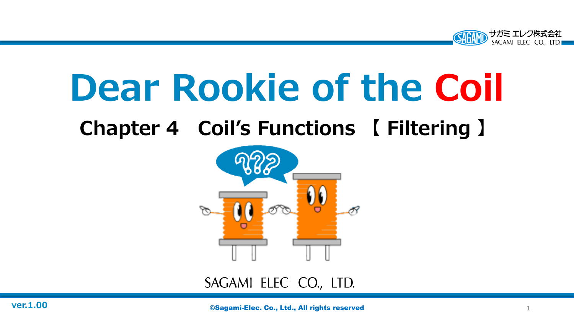

# **Dear Rookie of the Coil**

## **Chapter 4 Coil's Functions 【 Filtering 】**



#### SAGAMI ELEC CO., LTD.

**ver.1.00 Co., Ltd., All rights reserved** 1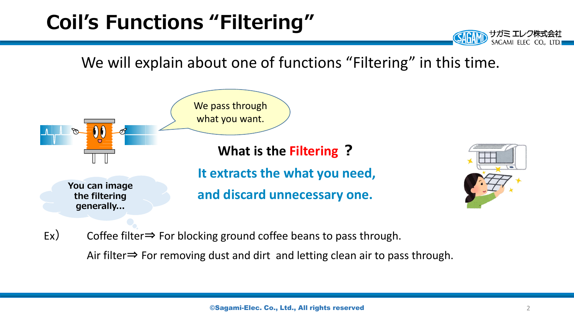### **Coil's Functions "Filtering"**

We will explain about one of functions "Filtering" in this time.



Ex) Coffee filter $\Rightarrow$  For blocking ground coffee beans to pass through.

Air filter⇒ For removing dust and dirt and letting clean air to pass through.

サガミ エレ SAGAMI ELEC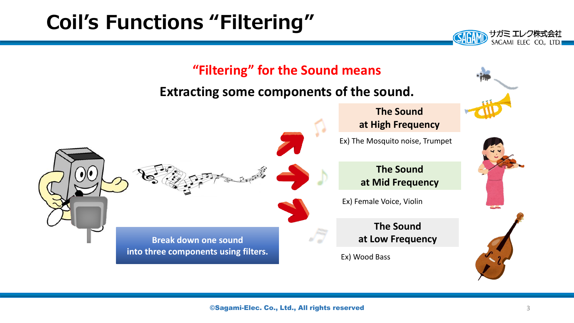### **Coil's Functions "Filtering"**



サガミ エレク株式会社 SAGAMI ELEC CO., LTD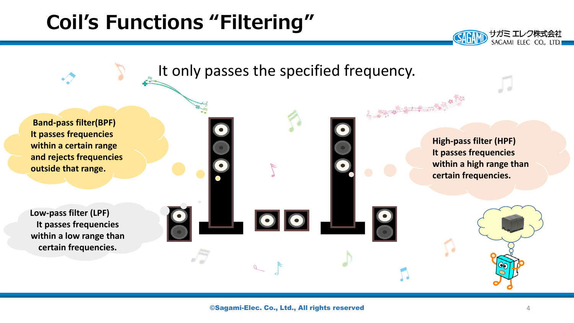#### **Coil's Functions "Filtering"**



サガミ エレク株式会社